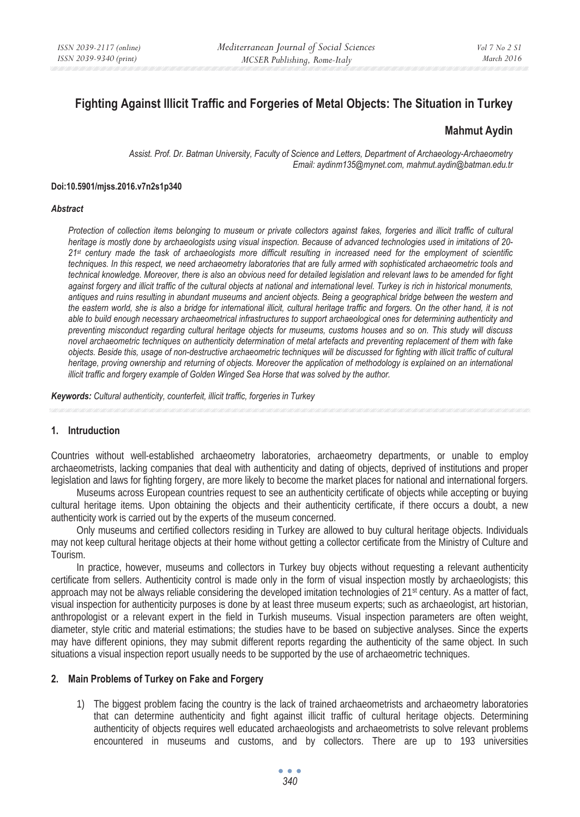# **Fighting Against Illicit Traffic and Forgeries of Metal Objects: The Situation in Turkey**

### **Mahmut Aydin**

*Assist. Prof. Dr. Batman University, Faculty of Science and Letters, Department of Archaeology-Archaeometry Email: aydinm135@mynet.com, mahmut.aydin@batman.edu.tr* 

#### **Doi:10.5901/mjss.2016.v7n2s1p340**

#### *Abstract*

*Protection of collection items belonging to museum or private collectors against fakes, forgeries and illicit traffic of cultural heritage is mostly done by archaeologists using visual inspection. Because of advanced technologies used in imitations of 20- 21st century made the task of archaeologists more difficult resulting in increased need for the employment of scientific techniques. In this respect, we need archaeometry laboratories that are fully armed with sophisticated archaeometric tools and technical knowledge. Moreover, there is also an obvious need for detailed legislation and relevant laws to be amended for fight against forgery and illicit traffic of the cultural objects at national and international level. Turkey is rich in historical monuments, antiques and ruins resulting in abundant museums and ancient objects. Being a geographical bridge between the western and the eastern world, she is also a bridge for international illicit, cultural heritage traffic and forgers. On the other hand, it is not able to build enough necessary archaeometrical infrastructures to support archaeological ones for determining authenticity and preventing misconduct regarding cultural heritage objects for museums, customs houses and so on. This study will discuss novel archaeometric techniques on authenticity determination of metal artefacts and preventing replacement of them with fake objects. Beside this, usage of non-destructive archaeometric techniques will be discussed for fighting with illicit traffic of cultural heritage, proving ownership and returning of objects. Moreover the application of methodology is explained on an international illicit traffic and forgery example of Golden Winged Sea Horse that was solved by the author.* 

*Keywords: Cultural authenticity, counterfeit, illicit traffic, forgeries in Turkey* 

#### **1. Intruduction**

Countries without well-established archaeometry laboratories, archaeometry departments, or unable to employ archaeometrists, lacking companies that deal with authenticity and dating of objects, deprived of institutions and proper legislation and laws for fighting forgery, are more likely to become the market places for national and international forgers.

Museums across European countries request to see an authenticity certificate of objects while accepting or buying cultural heritage items. Upon obtaining the objects and their authenticity certificate, if there occurs a doubt, a new authenticity work is carried out by the experts of the museum concerned.

Only museums and certified collectors residing in Turkey are allowed to buy cultural heritage objects. Individuals may not keep cultural heritage objects at their home without getting a collector certificate from the Ministry of Culture and Tourism.

In practice, however, museums and collectors in Turkey buy objects without requesting a relevant authenticity certificate from sellers. Authenticity control is made only in the form of visual inspection mostly by archaeologists; this approach may not be always reliable considering the developed imitation technologies of  $21<sup>st</sup>$  century. As a matter of fact, visual inspection for authenticity purposes is done by at least three museum experts; such as archaeologist, art historian, anthropologist or a relevant expert in the field in Turkish museums. Visual inspection parameters are often weight, diameter, style critic and material estimations; the studies have to be based on subjective analyses. Since the experts may have different opinions, they may submit different reports regarding the authenticity of the same object. In such situations a visual inspection report usually needs to be supported by the use of archaeometric techniques.

#### **2. Main Problems of Turkey on Fake and Forgery**

1) The biggest problem facing the country is the lack of trained archaeometrists and archaeometry laboratories that can determine authenticity and fight against illicit traffic of cultural heritage objects. Determining authenticity of objects requires well educated archaeologists and archaeometrists to solve relevant problems encountered in museums and customs, and by collectors. There are up to 193 universities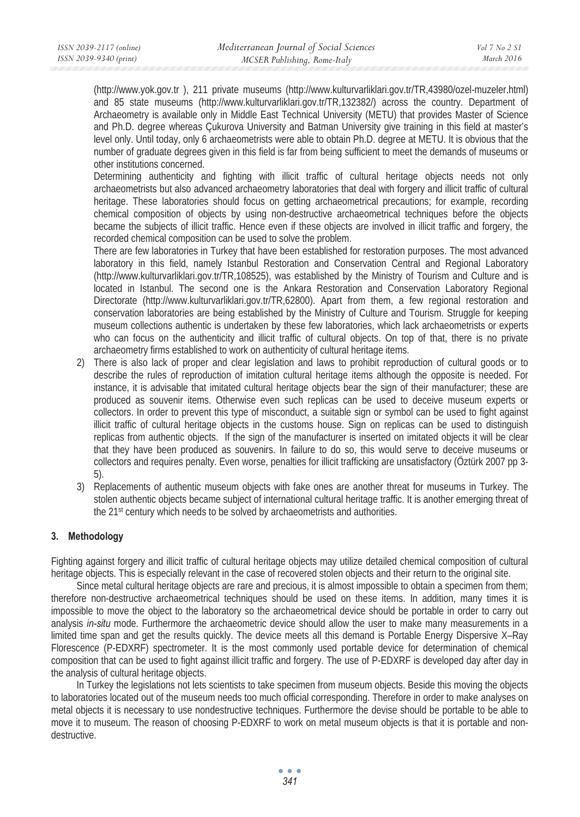(http://www.yok.gov.tr ), 211 private museums (http://www.kulturvarliklari.gov.tr/TR,43980/ozel-muzeler.html) and 85 state museums (http://www.kulturvarliklari.gov.tr/TR,132382/) across the country. Department of Archaeometry is available only in Middle East Technical University (METU) that provides Master of Science and Ph.D. degree whereas Çukurova University and Batman University give training in this field at master's level only. Until today, only 6 archaeometrists were able to obtain Ph.D. degree at METU. It is obvious that the number of graduate degrees given in this field is far from being sufficient to meet the demands of museums or other institutions concerned.

Determining authenticity and fighting with illicit traffic of cultural heritage objects needs not only archaeometrists but also advanced archaeometry laboratories that deal with forgery and illicit traffic of cultural heritage. These laboratories should focus on getting archaeometrical precautions; for example, recording chemical composition of objects by using non-destructive archaeometrical techniques before the objects became the subjects of illicit traffic. Hence even if these objects are involved in illicit traffic and forgery, the recorded chemical composition can be used to solve the problem.

There are few laboratories in Turkey that have been established for restoration purposes. The most advanced laboratory in this field, namely Istanbul Restoration and Conservation Central and Regional Laboratory (http://www.kulturvarliklari.gov.tr/TR,108525), was established by the Ministry of Tourism and Culture and is located in Istanbul. The second one is the Ankara Restoration and Conservation Laboratory Regional Directorate (http://www.kulturvarliklari.gov.tr/TR,62800). Apart from them, a few regional restoration and conservation laboratories are being established by the Ministry of Culture and Tourism. Struggle for keeping museum collections authentic is undertaken by these few laboratories, which lack archaeometrists or experts who can focus on the authenticity and illicit traffic of cultural objects. On top of that, there is no private archaeometry firms established to work on authenticity of cultural heritage items.

- 2) There is also lack of proper and clear legislation and laws to prohibit reproduction of cultural goods or to describe the rules of reproduction of imitation cultural heritage items although the opposite is needed. For instance, it is advisable that imitated cultural heritage objects bear the sign of their manufacturer; these are produced as souvenir items. Otherwise even such replicas can be used to deceive museum experts or collectors. In order to prevent this type of misconduct, a suitable sign or symbol can be used to fight against illicit traffic of cultural heritage objects in the customs house. Sign on replicas can be used to distinguish replicas from authentic objects. If the sign of the manufacturer is inserted on imitated objects it will be clear that they have been produced as souvenirs. In failure to do so, this would serve to deceive museums or collectors and requires penalty. Even worse, penalties for illicit trafficking are unsatisfactory (Öztürk 2007 pp 3- 5).
- 3) Replacements of authentic museum objects with fake ones are another threat for museums in Turkey. The stolen authentic objects became subject of international cultural heritage traffic. It is another emerging threat of the 21st century which needs to be solved by archaeometrists and authorities.

# **3. Methodology**

Fighting against forgery and illicit traffic of cultural heritage objects may utilize detailed chemical composition of cultural heritage objects. This is especially relevant in the case of recovered stolen objects and their return to the original site.

Since metal cultural heritage objects are rare and precious, it is almost impossible to obtain a specimen from them; therefore non-destructive archaeometrical techniques should be used on these items. In addition, many times it is impossible to move the object to the laboratory so the archaeometrical device should be portable in order to carry out analysis *in-situ* mode. Furthermore the archaeometric device should allow the user to make many measurements in a limited time span and get the results quickly. The device meets all this demand is Portable Energy Dispersive X–Ray Florescence (P-EDXRF) spectrometer. It is the most commonly used portable device for determination of chemical composition that can be used to fight against illicit traffic and forgery. The use of P-EDXRF is developed day after day in the analysis of cultural heritage objects.

In Turkey the legislations not lets scientists to take specimen from museum objects. Beside this moving the objects to laboratories located out of the museum needs too much official corresponding. Therefore in order to make analyses on metal objects it is necessary to use nondestructive techniques. Furthermore the devise should be portable to be able to move it to museum. The reason of choosing P-EDXRF to work on metal museum objects is that it is portable and nondestructive.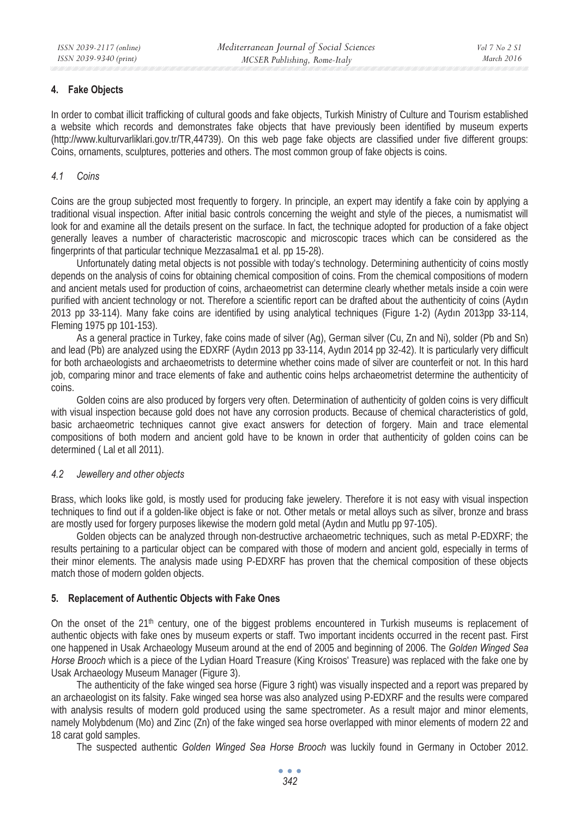### **4. Fake Objects**

In order to combat illicit trafficking of cultural goods and fake objects, Turkish Ministry of Culture and Tourism established a website which records and demonstrates fake objects that have previously been identified by museum experts (http://www.kulturvarliklari.gov.tr/TR,44739). On this web page fake objects are classified under five different groups: Coins, ornaments, sculptures, potteries and others. The most common group of fake objects is coins.

#### *4.1 Coins*

Coins are the group subjected most frequently to forgery. In principle, an expert may identify a fake coin by applying a traditional visual inspection. After initial basic controls concerning the weight and style of the pieces, a numismatist will look for and examine all the details present on the surface. In fact, the technique adopted for production of a fake object generally leaves a number of characteristic macroscopic and microscopic traces which can be considered as the fingerprints of that particular technique Mezzasalma1 et al. pp 15-28).

Unfortunately dating metal objects is not possible with today's technology. Determining authenticity of coins mostly depends on the analysis of coins for obtaining chemical composition of coins. From the chemical compositions of modern and ancient metals used for production of coins, archaeometrist can determine clearly whether metals inside a coin were purified with ancient technology or not. Therefore a scientific report can be drafted about the authenticity of coins (Aydın 2013 pp 33-114). Many fake coins are identified by using analytical techniques (Figure 1-2) (Aydın 2013pp 33-114, Fleming 1975 pp 101-153).

As a general practice in Turkey, fake coins made of silver (Ag), German silver (Cu, Zn and Ni), solder (Pb and Sn) and lead (Pb) are analyzed using the EDXRF (Aydın 2013 pp 33-114, Aydın 2014 pp 32-42). It is particularly very difficult for both archaeologists and archaeometrists to determine whether coins made of silver are counterfeit or not. In this hard job, comparing minor and trace elements of fake and authentic coins helps archaeometrist determine the authenticity of coins.

Golden coins are also produced by forgers very often. Determination of authenticity of golden coins is very difficult with visual inspection because gold does not have any corrosion products. Because of chemical characteristics of gold, basic archaeometric techniques cannot give exact answers for detection of forgery. Main and trace elemental compositions of both modern and ancient gold have to be known in order that authenticity of golden coins can be determined ( Lal et all 2011).

#### *4.2 Jewellery and other objects*

Brass, which looks like gold, is mostly used for producing fake jewelery. Therefore it is not easy with visual inspection techniques to find out if a golden-like object is fake or not. Other metals or metal alloys such as silver, bronze and brass are mostly used for forgery purposes likewise the modern gold metal (Aydın and Mutlu pp 97-105).

Golden objects can be analyzed through non-destructive archaeometric techniques, such as metal P-EDXRF; the results pertaining to a particular object can be compared with those of modern and ancient gold, especially in terms of their minor elements. The analysis made using P-EDXRF has proven that the chemical composition of these objects match those of modern golden objects.

# **5. Replacement of Authentic Objects with Fake Ones**

On the onset of the 21<sup>th</sup> century, one of the biggest problems encountered in Turkish museums is replacement of authentic objects with fake ones by museum experts or staff. Two important incidents occurred in the recent past. First one happened in Usak Archaeology Museum around at the end of 2005 and beginning of 2006. The *Golden Winged Sea Horse Brooch* which is a piece of the Lydian Hoard Treasure (King Kroisos' Treasure) was replaced with the fake one by Usak Archaeology Museum Manager (Figure 3).

The authenticity of the fake winged sea horse (Figure 3 right) was visually inspected and a report was prepared by an archaeologist on its falsity. Fake winged sea horse was also analyzed using P-EDXRF and the results were compared with analysis results of modern gold produced using the same spectrometer. As a result major and minor elements, namely Molybdenum (Mo) and Zinc (Zn) of the fake winged sea horse overlapped with minor elements of modern 22 and 18 carat gold samples.

The suspected authentic *Golden Winged Sea Horse Brooch* was luckily found in Germany in October 2012.

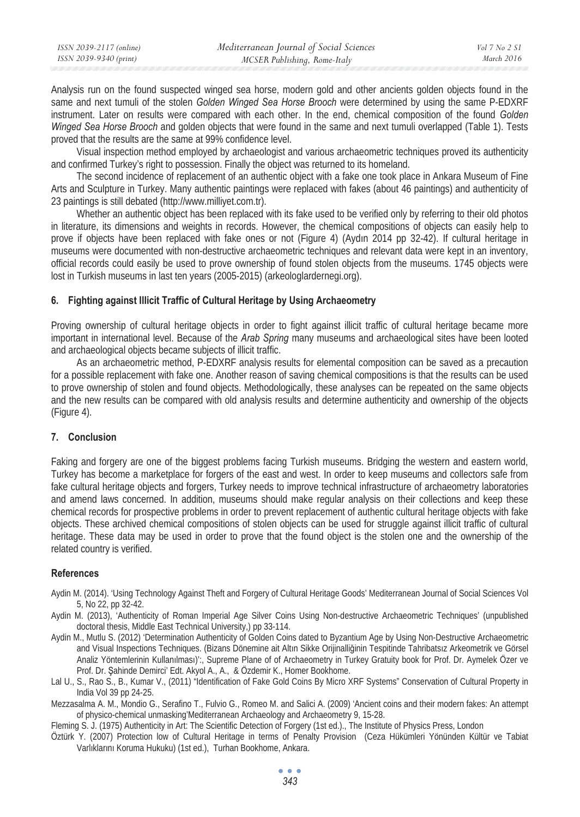| ISSN 2039-2117 (online) | Mediterranean Journal of Social Sciences | Vol 7 No 2 SI |
|-------------------------|------------------------------------------|---------------|
| ISSN 2039-9340 (print)  | MCSER Publishing, Rome-Italy             | March 2016    |

Analysis run on the found suspected winged sea horse, modern gold and other ancients golden objects found in the same and next tumuli of the stolen *Golden Winged Sea Horse Brooch* were determined by using the same P-EDXRF instrument. Later on results were compared with each other. In the end, chemical composition of the found *Golden Winged Sea Horse Brooch* and golden objects that were found in the same and next tumuli overlapped (Table 1). Tests proved that the results are the same at 99% confidence level.

Visual inspection method employed by archaeologist and various archaeometric techniques proved its authenticity and confirmed Turkey's right to possession. Finally the object was returned to its homeland.

The second incidence of replacement of an authentic object with a fake one took place in Ankara Museum of Fine Arts and Sculpture in Turkey. Many authentic paintings were replaced with fakes (about 46 paintings) and authenticity of 23 paintings is still debated (http://www.milliyet.com.tr).

Whether an authentic object has been replaced with its fake used to be verified only by referring to their old photos in literature, its dimensions and weights in records. However, the chemical compositions of objects can easily help to prove if objects have been replaced with fake ones or not (Figure 4) (Aydın 2014 pp 32-42). If cultural heritage in museums were documented with non-destructive archaeometric techniques and relevant data were kept in an inventory, official records could easily be used to prove ownership of found stolen objects from the museums. 1745 objects were lost in Turkish museums in last ten years (2005-2015) (arkeologlardernegi.org).

### **6. Fighting against Illicit Traffic of Cultural Heritage by Using Archaeometry**

Proving ownership of cultural heritage objects in order to fight against illicit traffic of cultural heritage became more important in international level. Because of the *Arab Spring* many museums and archaeological sites have been looted and archaeological objects became subjects of illicit traffic.

As an archaeometric method, P-EDXRF analysis results for elemental composition can be saved as a precaution for a possible replacement with fake one. Another reason of saving chemical compositions is that the results can be used to prove ownership of stolen and found objects. Methodologically, these analyses can be repeated on the same objects and the new results can be compared with old analysis results and determine authenticity and ownership of the objects (Figure 4).

#### **7. Conclusion**

Faking and forgery are one of the biggest problems facing Turkish museums. Bridging the western and eastern world, Turkey has become a marketplace for forgers of the east and west. In order to keep museums and collectors safe from fake cultural heritage objects and forgers, Turkey needs to improve technical infrastructure of archaeometry laboratories and amend laws concerned. In addition, museums should make regular analysis on their collections and keep these chemical records for prospective problems in order to prevent replacement of authentic cultural heritage objects with fake objects. These archived chemical compositions of stolen objects can be used for struggle against illicit traffic of cultural heritage. These data may be used in order to prove that the found object is the stolen one and the ownership of the related country is verified.

#### **References**

- Aydin M. (2014). 'Using Technology Against Theft and Forgery of Cultural Heritage Goods' Mediterranean Journal of Social Sciences Vol 5, No 22, pp 32-42.
- Aydin M. (2013), 'Authenticity of Roman Imperial Age Silver Coins Using Non-destructive Archaeometric Techniques' (unpublished doctoral thesis, Middle East Technical University,) pp 33-114.
- Aydin M., Mutlu S. (2012) 'Determination Authenticity of Golden Coins dated to Byzantium Age by Using Non-Destructive Archaeometric and Visual Inspections Techniques. (Bizans Dönemine ait Altın Sikke Orijinalliğinin Tespitinde Tahribatsız Arkeometrik ve Görsel Analiz Yöntemlerinin Kullanılması)':, Supreme Plane of of Archaeometry in Turkey Gratuity book for Prof. Dr. Aymelek Özer ve Prof. Dr. Şahinde Demirci' Edt. Akyol A., A., & Özdemir K., Homer Bookhome.
- Lal U., S., Rao S., B., Kumar V., (2011) "Identification of Fake Gold Coins By Micro XRF Systems" Conservation of Cultural Property in India Vol 39 pp 24-25.

Mezzasalma A. M., Mondio G., Serafino T., Fulvio G., Romeo M. and Salici A. (2009) 'Ancient coins and their modern fakes: An attempt of physico-chemical unmasking'Mediterranean Archaeology and Archaeometry 9, 15-28.

- Fleming S. J. (1975) Authenticity in Art: The Scientific Detection of Forgery (1st ed.)., The Institute of Physics Press, London
- Öztürk Y. (2007) Protection low of Cultural Heritage in terms of Penalty Provision (Ceza Hükümleri Yönünden Kültür ve Tabiat Varlıklarını Koruma Hukuku) (1st ed.), Turhan Bookhome, Ankara.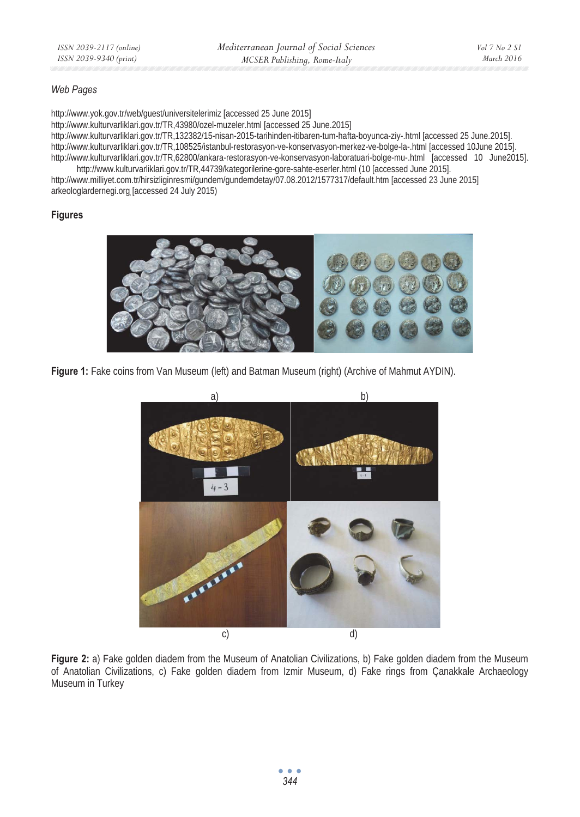# *Web Pages*

http://www.yok.gov.tr/web/guest/universitelerimiz [accessed 25 June 2015] http://www.kulturvarliklari.gov.tr/TR,43980/ozel-muzeler.html [accessed 25 June.2015] http://www.kulturvarliklari.gov.tr/TR,132382/15-nisan-2015-tarihinden-itibaren-tum-hafta-boyunca-ziy-.html [accessed 25 June.2015]. http://www.kulturvarliklari.gov.tr/TR,108525/istanbul-restorasyon-ve-konservasyon-merkez-ve-bolge-la-.html [accessed 10June 2015]. http://www.kulturvarliklari.gov.tr/TR,62800/ankara-restorasyon-ve-konservasyon-laboratuari-bolge-mu-.html [accessed 10 June2015].

http://www.kulturvarliklari.gov.tr/TR,44739/kategorilerine-gore-sahte-eserler.html (10 [accessed June 2015]. http://www.milliyet.com.tr/hirsizliginresmi/gundem/gundemdetay/07.08.2012/1577317/default.htm [accessed 23 June 2015] arkeologlardernegi.org [accessed 24 July 2015)

### **Figures**



Figure 1: Fake coins from Van Museum (left) and Batman Museum (right) (Archive of Mahmut AYDIN).



**Figure 2:** a) Fake golden diadem from the Museum of Anatolian Civilizations, b) Fake golden diadem from the Museum of Anatolian Civilizations, c) Fake golden diadem from Izmir Museum, d) Fake rings from Çanakkale Archaeology Museum in Turkey